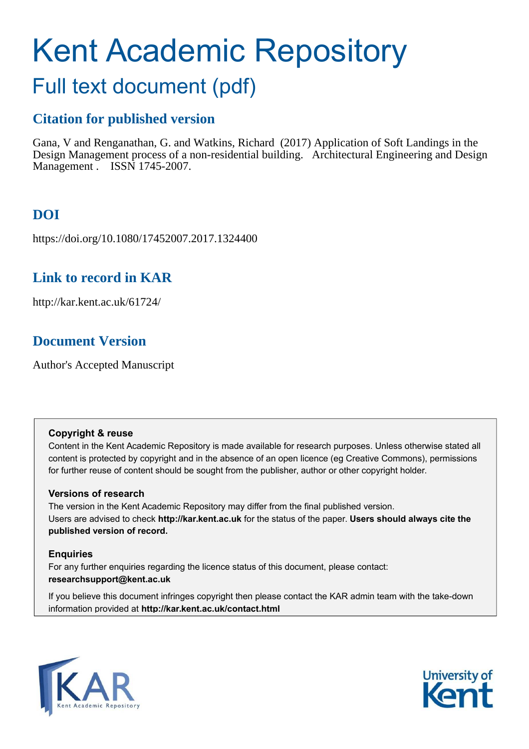# Kent Academic Repository

## Full text document (pdf)

## **Citation for published version**

Gana, V and Renganathan, G. and Watkins, Richard (2017) Application of Soft Landings in the Design Management process of a non-residential building. Architectural Engineering and Design Management . ISSN 1745-2007.

## **DOI**

https://doi.org/10.1080/17452007.2017.1324400

## **Link to record in KAR**

http://kar.kent.ac.uk/61724/

## **Document Version**

Author's Accepted Manuscript

#### **Copyright & reuse**

Content in the Kent Academic Repository is made available for research purposes. Unless otherwise stated all content is protected by copyright and in the absence of an open licence (eg Creative Commons), permissions for further reuse of content should be sought from the publisher, author or other copyright holder.

#### **Versions of research**

The version in the Kent Academic Repository may differ from the final published version. Users are advised to check **http://kar.kent.ac.uk** for the status of the paper. **Users should always cite the published version of record.**

#### **Enquiries**

For any further enquiries regarding the licence status of this document, please contact: **researchsupport@kent.ac.uk**

If you believe this document infringes copyright then please contact the KAR admin team with the take-down information provided at **http://kar.kent.ac.uk/contact.html**



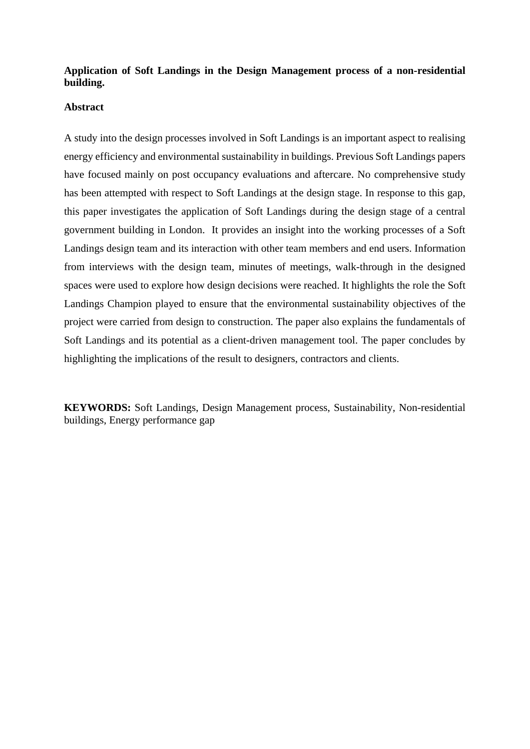#### **Application of Soft Landings in the Design Management process of a non-residential building.**

#### **Abstract**

A study into the design processes involved in Soft Landings is an important aspect to realising energy efficiency and environmental sustainability in buildings. Previous Soft Landings papers have focused mainly on post occupancy evaluations and aftercare. No comprehensive study has been attempted with respect to Soft Landings at the design stage. In response to this gap, this paper investigates the application of Soft Landings during the design stage of a central government building in London. It provides an insight into the working processes of a Soft Landings design team and its interaction with other team members and end users. Information from interviews with the design team, minutes of meetings, walk-through in the designed spaces were used to explore how design decisions were reached. It highlights the role the Soft Landings Champion played to ensure that the environmental sustainability objectives of the project were carried from design to construction. The paper also explains the fundamentals of Soft Landings and its potential as a client-driven management tool. The paper concludes by highlighting the implications of the result to designers, contractors and clients.

**KEYWORDS:** Soft Landings, Design Management process, Sustainability, Non-residential buildings, Energy performance gap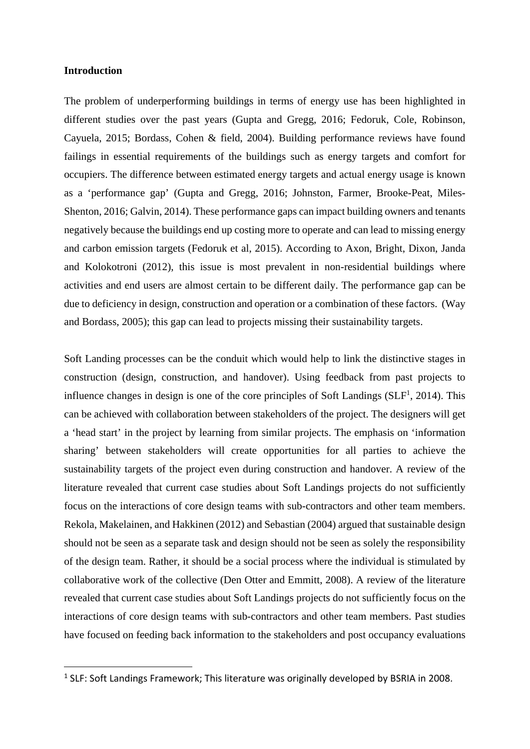#### **Introduction**

The problem of underperforming buildings in terms of energy use has been highlighted in different studies over the past years (Gupta and Gregg, 2016; Fedoruk, Cole, Robinson, Cayuela, 2015; Bordass, Cohen & field, 2004). Building performance reviews have found failings in essential requirements of the buildings such as energy targets and comfort for occupiers. The difference between estimated energy targets and actual energy usage is known as a 'performance gap' (Gupta and Gregg, 2016; Johnston, Farmer, Brooke-Peat, Miles-Shenton, 2016; Galvin, 2014). These performance gaps can impact building owners and tenants negatively because the buildings end up costing more to operate and can lead to missing energy and carbon emission targets (Fedoruk et al, 2015). According to Axon, Bright, Dixon, Janda and Kolokotroni (2012), this issue is most prevalent in non-residential buildings where activities and end users are almost certain to be different daily. The performance gap can be due to deficiency in design, construction and operation or a combination of these factors. (Way and Bordass, 2005); this gap can lead to projects missing their sustainability targets.

Soft Landing processes can be the conduit which would help to link the distinctive stages in construction (design, construction, and handover). Using feedback from past projects to influence changes in design is one of the core principles of Soft Landings ( $SLF<sup>1</sup>$ , 2014). This can be achieved with collaboration between stakeholders of the project. The designers will get a 'head start' in the project by learning from similar projects. The emphasis on 'information sharing' between stakeholders will create opportunities for all parties to achieve the sustainability targets of the project even during construction and handover. A review of the literature revealed that current case studies about Soft Landings projects do not sufficiently focus on the interactions of core design teams with sub-contractors and other team members. Rekola, Makelainen, and Hakkinen (2012) and Sebastian (2004) argued that sustainable design should not be seen as a separate task and design should not be seen as solely the responsibility of the design team. Rather, it should be a social process where the individual is stimulated by collaborative work of the collective (Den Otter and Emmitt, 2008). A review of the literature revealed that current case studies about Soft Landings projects do not sufficiently focus on the interactions of core design teams with sub-contractors and other team members. Past studies have focused on feeding back information to the stakeholders and post occupancy evaluations

<sup>&</sup>lt;sup>1</sup> SLF: Soft Landings Framework; This literature was originally developed by BSRIA in 2008.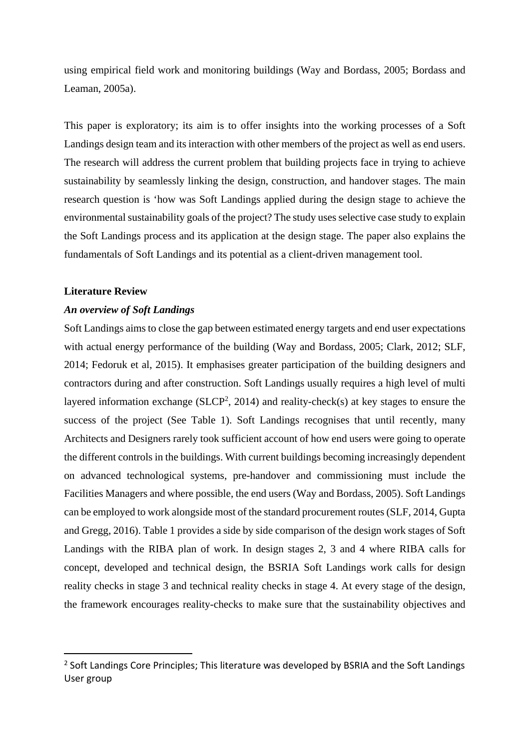using empirical field work and monitoring buildings (Way and Bordass, 2005; Bordass and Leaman, 2005a).

This paper is exploratory; its aim is to offer insights into the working processes of a Soft Landings design team and its interaction with other members of the project as well as end users. The research will address the current problem that building projects face in trying to achieve sustainability by seamlessly linking the design, construction, and handover stages. The main research question is 'how was Soft Landings applied during the design stage to achieve the environmental sustainability goals of the project? The study uses selective case study to explain the Soft Landings process and its application at the design stage. The paper also explains the fundamentals of Soft Landings and its potential as a client-driven management tool.

#### **Literature Review**

#### *An overview of Soft Landings*

Soft Landings aims to close the gap between estimated energy targets and end user expectations with actual energy performance of the building (Way and Bordass, 2005; Clark, 2012; SLF, 2014; Fedoruk et al, 2015). It emphasises greater participation of the building designers and contractors during and after construction. Soft Landings usually requires a high level of multi layered information exchange  $(SLCP<sup>2</sup>, 2014)$  and reality-check(s) at key stages to ensure the success of the project (See Table 1). Soft Landings recognises that until recently, many Architects and Designers rarely took sufficient account of how end users were going to operate the different controls in the buildings. With current buildings becoming increasingly dependent on advanced technological systems, pre-handover and commissioning must include the Facilities Managers and where possible, the end users (Way and Bordass, 2005). Soft Landings can be employed to work alongside most of the standard procurement routes (SLF, 2014, Gupta and Gregg, 2016). Table 1 provides a side by side comparison of the design work stages of Soft Landings with the RIBA plan of work. In design stages 2, 3 and 4 where RIBA calls for concept, developed and technical design, the BSRIA Soft Landings work calls for design reality checks in stage 3 and technical reality checks in stage 4. At every stage of the design, the framework encourages reality-checks to make sure that the sustainability objectives and

<sup>&</sup>lt;sup>2</sup> Soft Landings Core Principles; This literature was developed by BSRIA and the Soft Landings User group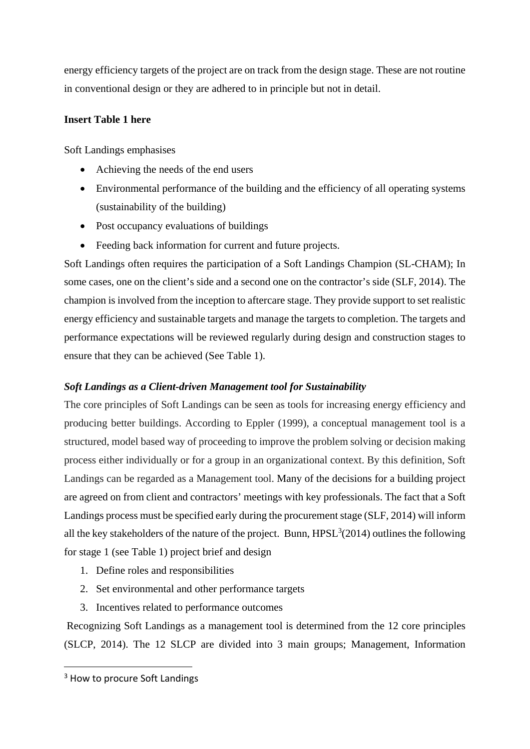energy efficiency targets of the project are on track from the design stage. These are not routine in conventional design or they are adhered to in principle but not in detail.

#### **Insert Table 1 here**

Soft Landings emphasises

- Achieving the needs of the end users
- Environmental performance of the building and the efficiency of all operating systems (sustainability of the building)
- Post occupancy evaluations of buildings
- Feeding back information for current and future projects.

Soft Landings often requires the participation of a Soft Landings Champion (SL-CHAM); In some cases, one on the client's side and a second one on the contractor's side (SLF, 2014). The champion is involved from the inception to aftercare stage. They provide support to set realistic energy efficiency and sustainable targets and manage the targets to completion. The targets and performance expectations will be reviewed regularly during design and construction stages to ensure that they can be achieved (See Table 1).

#### *Soft Landings as a Client-driven Management tool for Sustainability*

The core principles of Soft Landings can be seen as tools for increasing energy efficiency and producing better buildings. According to Eppler (1999), a conceptual management tool is a structured, model based way of proceeding to improve the problem solving or decision making process either individually or for a group in an organizational context. By this definition, Soft Landings can be regarded as a Management tool. Many of the decisions for a building project are agreed on from client and contractors' meetings with key professionals. The fact that a Soft Landings process must be specified early during the procurement stage (SLF, 2014) will inform all the key stakeholders of the nature of the project. Bunn,  $HPSL<sup>3</sup>(2014)$  outlines the following for stage 1 (see Table 1) project brief and design

- 1. Define roles and responsibilities
- 2. Set environmental and other performance targets
- 3. Incentives related to performance outcomes

 Recognizing Soft Landings as a management tool is determined from the 12 core principles (SLCP, 2014). The 12 SLCP are divided into 3 main groups; Management, Information

 <sup>3</sup> How to procure Soft Landings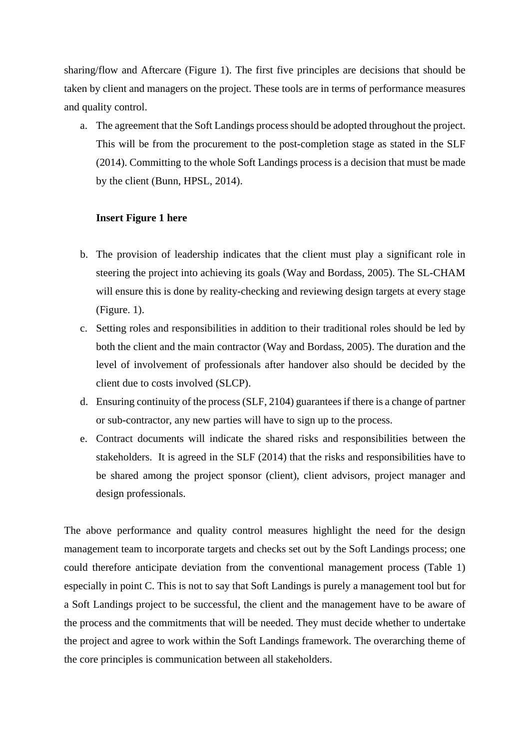sharing/flow and Aftercare (Figure 1). The first five principles are decisions that should be taken by client and managers on the project. These tools are in terms of performance measures and quality control.

a. The agreement that the Soft Landings process should be adopted throughout the project. This will be from the procurement to the post-completion stage as stated in the SLF (2014). Committing to the whole Soft Landings process is a decision that must be made by the client (Bunn, HPSL, 2014).

#### **Insert Figure 1 here**

- b. The provision of leadership indicates that the client must play a significant role in steering the project into achieving its goals (Way and Bordass, 2005). The SL-CHAM will ensure this is done by reality-checking and reviewing design targets at every stage (Figure. 1).
- c. Setting roles and responsibilities in addition to their traditional roles should be led by both the client and the main contractor (Way and Bordass, 2005). The duration and the level of involvement of professionals after handover also should be decided by the client due to costs involved (SLCP).
- d. Ensuring continuity of the process (SLF, 2104) guarantees if there is a change of partner or sub-contractor, any new parties will have to sign up to the process.
- e. Contract documents will indicate the shared risks and responsibilities between the stakeholders. It is agreed in the SLF (2014) that the risks and responsibilities have to be shared among the project sponsor (client), client advisors, project manager and design professionals.

The above performance and quality control measures highlight the need for the design management team to incorporate targets and checks set out by the Soft Landings process; one could therefore anticipate deviation from the conventional management process (Table 1) especially in point C. This is not to say that Soft Landings is purely a management tool but for a Soft Landings project to be successful, the client and the management have to be aware of the process and the commitments that will be needed. They must decide whether to undertake the project and agree to work within the Soft Landings framework. The overarching theme of the core principles is communication between all stakeholders.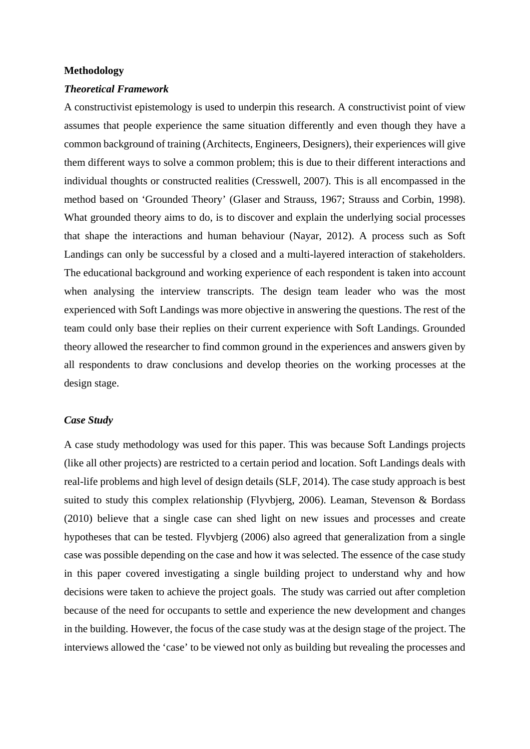#### **Methodology**

#### *Theoretical Framework*

A constructivist epistemology is used to underpin this research. A constructivist point of view assumes that people experience the same situation differently and even though they have a common background of training (Architects, Engineers, Designers), their experiences will give them different ways to solve a common problem; this is due to their different interactions and individual thoughts or constructed realities (Cresswell, 2007). This is all encompassed in the method based on 'Grounded Theory' (Glaser and Strauss, 1967; Strauss and Corbin, 1998). What grounded theory aims to do, is to discover and explain the underlying social processes that shape the interactions and human behaviour (Nayar, 2012). A process such as Soft Landings can only be successful by a closed and a multi-layered interaction of stakeholders. The educational background and working experience of each respondent is taken into account when analysing the interview transcripts. The design team leader who was the most experienced with Soft Landings was more objective in answering the questions. The rest of the team could only base their replies on their current experience with Soft Landings. Grounded theory allowed the researcher to find common ground in the experiences and answers given by all respondents to draw conclusions and develop theories on the working processes at the design stage.

#### *Case Study*

A case study methodology was used for this paper. This was because Soft Landings projects (like all other projects) are restricted to a certain period and location. Soft Landings deals with real-life problems and high level of design details (SLF, 2014). The case study approach is best suited to study this complex relationship (Flyvbjerg, 2006). Leaman, Stevenson & Bordass (2010) believe that a single case can shed light on new issues and processes and create hypotheses that can be tested. Flyvbjerg (2006) also agreed that generalization from a single case was possible depending on the case and how it was selected. The essence of the case study in this paper covered investigating a single building project to understand why and how decisions were taken to achieve the project goals. The study was carried out after completion because of the need for occupants to settle and experience the new development and changes in the building. However, the focus of the case study was at the design stage of the project. The interviews allowed the 'case' to be viewed not only as building but revealing the processes and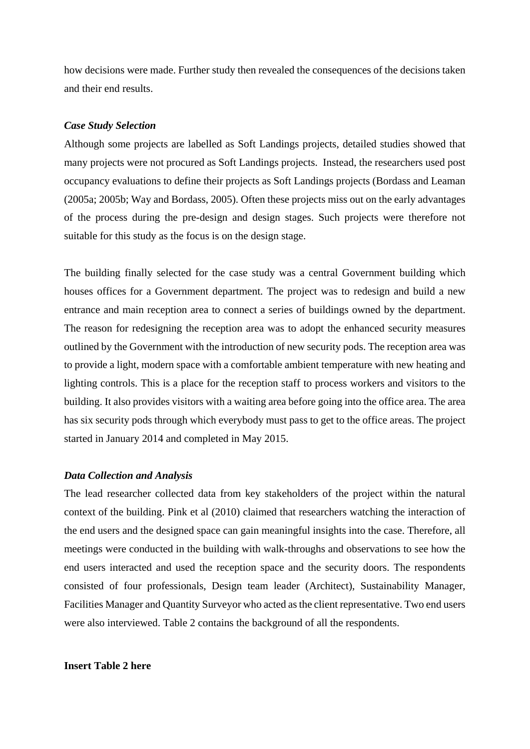how decisions were made. Further study then revealed the consequences of the decisions taken and their end results.

#### *Case Study Selection*

Although some projects are labelled as Soft Landings projects, detailed studies showed that many projects were not procured as Soft Landings projects. Instead, the researchers used post occupancy evaluations to define their projects as Soft Landings projects (Bordass and Leaman (2005a; 2005b; Way and Bordass, 2005). Often these projects miss out on the early advantages of the process during the pre-design and design stages. Such projects were therefore not suitable for this study as the focus is on the design stage.

The building finally selected for the case study was a central Government building which houses offices for a Government department. The project was to redesign and build a new entrance and main reception area to connect a series of buildings owned by the department. The reason for redesigning the reception area was to adopt the enhanced security measures outlined by the Government with the introduction of new security pods. The reception area was to provide a light, modern space with a comfortable ambient temperature with new heating and lighting controls. This is a place for the reception staff to process workers and visitors to the building. It also provides visitors with a waiting area before going into the office area. The area has six security pods through which everybody must pass to get to the office areas. The project started in January 2014 and completed in May 2015.

#### *Data Collection and Analysis*

The lead researcher collected data from key stakeholders of the project within the natural context of the building. Pink et al (2010) claimed that researchers watching the interaction of the end users and the designed space can gain meaningful insights into the case. Therefore, all meetings were conducted in the building with walk-throughs and observations to see how the end users interacted and used the reception space and the security doors. The respondents consisted of four professionals, Design team leader (Architect), Sustainability Manager, Facilities Manager and Quantity Surveyor who acted as the client representative. Two end users were also interviewed. Table 2 contains the background of all the respondents.

#### **Insert Table 2 here**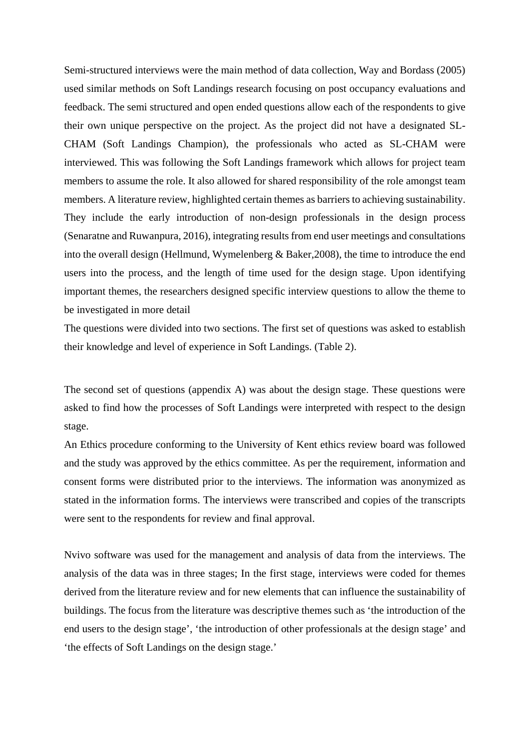Semi-structured interviews were the main method of data collection, Way and Bordass (2005) used similar methods on Soft Landings research focusing on post occupancy evaluations and feedback. The semi structured and open ended questions allow each of the respondents to give their own unique perspective on the project. As the project did not have a designated SL-CHAM (Soft Landings Champion), the professionals who acted as SL-CHAM were interviewed. This was following the Soft Landings framework which allows for project team members to assume the role. It also allowed for shared responsibility of the role amongst team members. A literature review, highlighted certain themes as barriers to achieving sustainability. They include the early introduction of non-design professionals in the design process (Senaratne and Ruwanpura, 2016), integrating results from end user meetings and consultations into the overall design (Hellmund, Wymelenberg & Baker,2008), the time to introduce the end users into the process, and the length of time used for the design stage. Upon identifying important themes, the researchers designed specific interview questions to allow the theme to be investigated in more detail

The questions were divided into two sections. The first set of questions was asked to establish their knowledge and level of experience in Soft Landings. (Table 2).

The second set of questions (appendix A) was about the design stage. These questions were asked to find how the processes of Soft Landings were interpreted with respect to the design stage.

An Ethics procedure conforming to the University of Kent ethics review board was followed and the study was approved by the ethics committee. As per the requirement, information and consent forms were distributed prior to the interviews. The information was anonymized as stated in the information forms. The interviews were transcribed and copies of the transcripts were sent to the respondents for review and final approval.

Nvivo software was used for the management and analysis of data from the interviews. The analysis of the data was in three stages; In the first stage, interviews were coded for themes derived from the literature review and for new elements that can influence the sustainability of buildings. The focus from the literature was descriptive themes such as 'the introduction of the end users to the design stage', 'the introduction of other professionals at the design stage' and 'the effects of Soft Landings on the design stage.'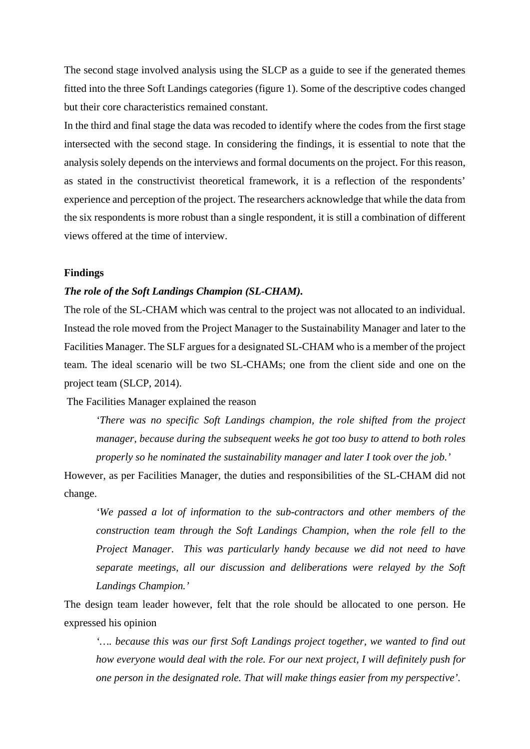The second stage involved analysis using the SLCP as a guide to see if the generated themes fitted into the three Soft Landings categories (figure 1). Some of the descriptive codes changed but their core characteristics remained constant.

In the third and final stage the data was recoded to identify where the codes from the first stage intersected with the second stage. In considering the findings, it is essential to note that the analysis solely depends on the interviews and formal documents on the project. For this reason, as stated in the constructivist theoretical framework, it is a reflection of the respondents' experience and perception of the project. The researchers acknowledge that while the data from the six respondents is more robust than a single respondent, it is still a combination of different views offered at the time of interview.

#### **Findings**

#### *The role of the Soft Landings Champion (SL-CHAM).*

The role of the SL-CHAM which was central to the project was not allocated to an individual. Instead the role moved from the Project Manager to the Sustainability Manager and later to the Facilities Manager. The SLF argues for a designated SL-CHAM who is a member of the project team. The ideal scenario will be two SL-CHAMs; one from the client side and one on the project team (SLCP, 2014).

The Facilities Manager explained the reason

*'There was no specific Soft Landings champion, the role shifted from the project manager, because during the subsequent weeks he got too busy to attend to both roles properly so he nominated the sustainability manager and later I took over the job.'* 

However, as per Facilities Manager, the duties and responsibilities of the SL-CHAM did not change.

*'We passed a lot of information to the sub-contractors and other members of the construction team through the Soft Landings Champion, when the role fell to the Project Manager. This was particularly handy because we did not need to have separate meetings, all our discussion and deliberations were relayed by the Soft Landings Champion.'* 

The design team leader however, felt that the role should be allocated to one person. He expressed his opinion

*'…. because this was our first Soft Landings project together, we wanted to find out how everyone would deal with the role. For our next project, I will definitely push for one person in the designated role. That will make things easier from my perspective'.*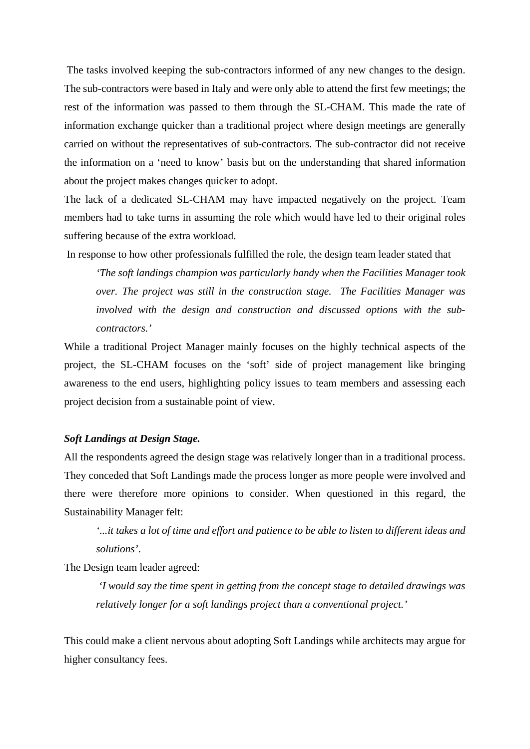The tasks involved keeping the sub-contractors informed of any new changes to the design. The sub-contractors were based in Italy and were only able to attend the first few meetings; the rest of the information was passed to them through the SL-CHAM. This made the rate of information exchange quicker than a traditional project where design meetings are generally carried on without the representatives of sub-contractors. The sub-contractor did not receive the information on a 'need to know' basis but on the understanding that shared information about the project makes changes quicker to adopt.

The lack of a dedicated SL-CHAM may have impacted negatively on the project. Team members had to take turns in assuming the role which would have led to their original roles suffering because of the extra workload.

In response to how other professionals fulfilled the role, the design team leader stated that

*'The soft landings champion was particularly handy when the Facilities Manager took over. The project was still in the construction stage. The Facilities Manager was involved with the design and construction and discussed options with the subcontractors.'* 

While a traditional Project Manager mainly focuses on the highly technical aspects of the project, the SL-CHAM focuses on the 'soft' side of project management like bringing awareness to the end users, highlighting policy issues to team members and assessing each project decision from a sustainable point of view.

#### *Soft Landings at Design Stage.*

All the respondents agreed the design stage was relatively longer than in a traditional process. They conceded that Soft Landings made the process longer as more people were involved and there were therefore more opinions to consider. When questioned in this regard, the Sustainability Manager felt:

*'...it takes a lot of time and effort and patience to be able to listen to different ideas and solutions'*.

The Design team leader agreed:

*'I would say the time spent in getting from the concept stage to detailed drawings was relatively longer for a soft landings project than a conventional project.'* 

This could make a client nervous about adopting Soft Landings while architects may argue for higher consultancy fees.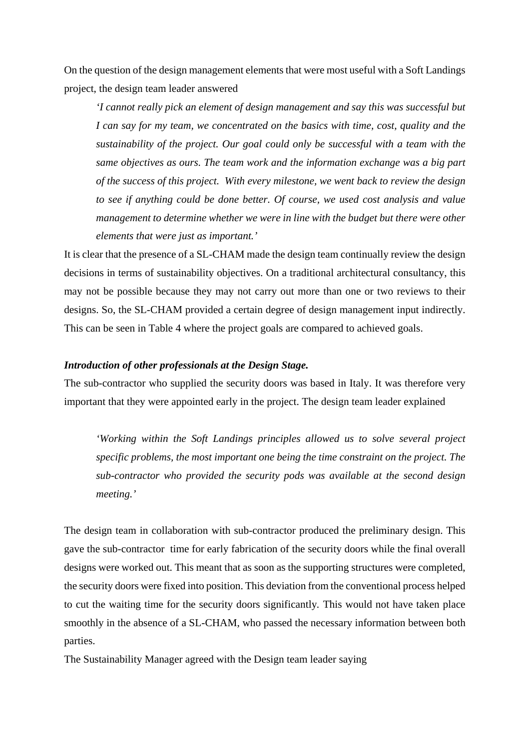On the question of the design management elements that were most useful with a Soft Landings project, the design team leader answered

*'I cannot really pick an element of design management and say this was successful but I can say for my team, we concentrated on the basics with time, cost, quality and the sustainability of the project. Our goal could only be successful with a team with the same objectives as ours. The team work and the information exchange was a big part of the success of this project. With every milestone, we went back to review the design to see if anything could be done better. Of course, we used cost analysis and value management to determine whether we were in line with the budget but there were other elements that were just as important.'* 

It is clear that the presence of a SL-CHAM made the design team continually review the design decisions in terms of sustainability objectives. On a traditional architectural consultancy, this may not be possible because they may not carry out more than one or two reviews to their designs. So, the SL-CHAM provided a certain degree of design management input indirectly. This can be seen in Table 4 where the project goals are compared to achieved goals.

#### *Introduction of other professionals at the Design Stage.*

The sub-contractor who supplied the security doors was based in Italy. It was therefore very important that they were appointed early in the project. The design team leader explained

*'Working within the Soft Landings principles allowed us to solve several project specific problems, the most important one being the time constraint on the project. The sub-contractor who provided the security pods was available at the second design meeting.'* 

The design team in collaboration with sub-contractor produced the preliminary design. This gave the sub-contractor time for early fabrication of the security doors while the final overall designs were worked out. This meant that as soon as the supporting structures were completed, the security doors were fixed into position. This deviation from the conventional process helped to cut the waiting time for the security doors significantly*.* This would not have taken place smoothly in the absence of a SL-CHAM, who passed the necessary information between both parties.

The Sustainability Manager agreed with the Design team leader saying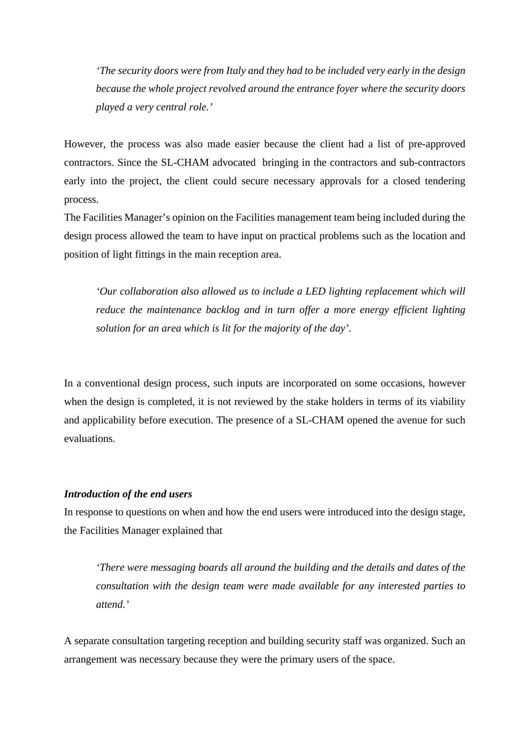*'The security doors were from Italy and they had to be included very early in the design because the whole project revolved around the entrance foyer where the security doors played a very central role.'* 

However, the process was also made easier because the client had a list of pre-approved contractors. Since the SL-CHAM advocated bringing in the contractors and sub-contractors early into the project, the client could secure necessary approvals for a closed tendering process.

The Facilities Manager's opinion on the Facilities management team being included during the design process allowed the team to have input on practical problems such as the location and position of light fittings in the main reception area.

*'Our collaboration also allowed us to include a LED lighting replacement which will reduce the maintenance backlog and in turn offer a more energy efficient lighting solution for an area which is lit for the majority of the day'.* 

In a conventional design process, such inputs are incorporated on some occasions, however when the design is completed, it is not reviewed by the stake holders in terms of its viability and applicability before execution. The presence of a SL-CHAM opened the avenue for such evaluations.

#### *Introduction of the end users*

In response to questions on when and how the end users were introduced into the design stage, the Facilities Manager explained that

*'There were messaging boards all around the building and the details and dates of the consultation with the design team were made available for any interested parties to attend.'*

A separate consultation targeting reception and building security staff was organized. Such an arrangement was necessary because they were the primary users of the space.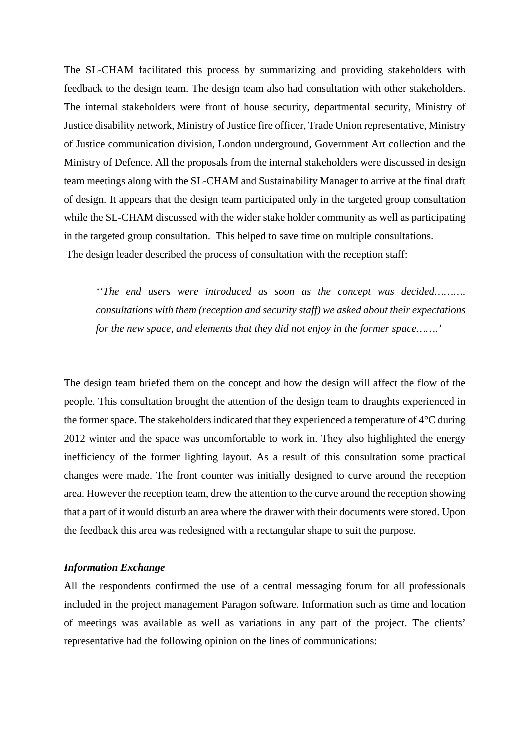The SL-CHAM facilitated this process by summarizing and providing stakeholders with feedback to the design team. The design team also had consultation with other stakeholders. The internal stakeholders were front of house security, departmental security, Ministry of Justice disability network, Ministry of Justice fire officer, Trade Union representative, Ministry of Justice communication division, London underground, Government Art collection and the Ministry of Defence. All the proposals from the internal stakeholders were discussed in design team meetings along with the SL-CHAM and Sustainability Manager to arrive at the final draft of design. It appears that the design team participated only in the targeted group consultation while the SL-CHAM discussed with the wider stake holder community as well as participating in the targeted group consultation. This helped to save time on multiple consultations.

The design leader described the process of consultation with the reception staff:

*''The end users were introduced as soon as the concept was decided………. consultations with them (reception and security staff) we asked about their expectations for the new space, and elements that they did not enjoy in the former space…….'*

The design team briefed them on the concept and how the design will affect the flow of the people. This consultation brought the attention of the design team to draughts experienced in the former space. The stakeholders indicated that they experienced a temperature of 4°C during 2012 winter and the space was uncomfortable to work in. They also highlighted the energy inefficiency of the former lighting layout. As a result of this consultation some practical changes were made. The front counter was initially designed to curve around the reception area. However the reception team, drew the attention to the curve around the reception showing that a part of it would disturb an area where the drawer with their documents were stored. Upon the feedback this area was redesigned with a rectangular shape to suit the purpose.

#### *Information Exchange*

All the respondents confirmed the use of a central messaging forum for all professionals included in the project management Paragon software. Information such as time and location of meetings was available as well as variations in any part of the project. The clients' representative had the following opinion on the lines of communications: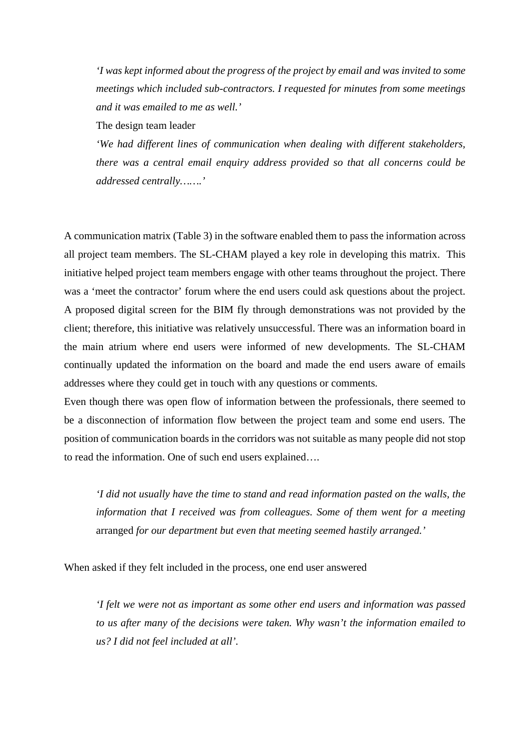*'I was kept informed about the progress of the project by email and was invited to some meetings which included sub-contractors. I requested for minutes from some meetings and it was emailed to me as well.'*

The design team leader

*'We had different lines of communication when dealing with different stakeholders, there was a central email enquiry address provided so that all concerns could be addressed centrally…….'* 

A communication matrix (Table 3) in the software enabled them to pass the information across all project team members. The SL-CHAM played a key role in developing this matrix. This initiative helped project team members engage with other teams throughout the project. There was a 'meet the contractor' forum where the end users could ask questions about the project. A proposed digital screen for the BIM fly through demonstrations was not provided by the client; therefore, this initiative was relatively unsuccessful. There was an information board in the main atrium where end users were informed of new developments. The SL-CHAM continually updated the information on the board and made the end users aware of emails addresses where they could get in touch with any questions or comments*.* 

Even though there was open flow of information between the professionals, there seemed to be a disconnection of information flow between the project team and some end users. The position of communication boards in the corridors was not suitable as many people did not stop to read the information. One of such end users explained….

*'I did not usually have the time to stand and read information pasted on the walls, the information that I received was from colleagues. Some of them went for a meeting* arranged *for our department but even that meeting seemed hastily arranged.'*

When asked if they felt included in the process, one end user answered

*'I felt we were not as important as some other end users and information was passed to us after many of the decisions were taken. Why wasn't the information emailed to us? I did not feel included at all'.*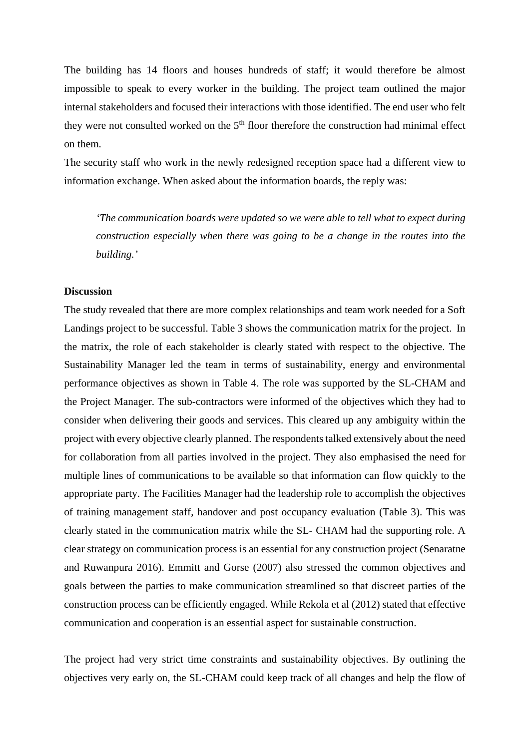The building has 14 floors and houses hundreds of staff; it would therefore be almost impossible to speak to every worker in the building. The project team outlined the major internal stakeholders and focused their interactions with those identified. The end user who felt they were not consulted worked on the  $5<sup>th</sup>$  floor therefore the construction had minimal effect on them.

The security staff who work in the newly redesigned reception space had a different view to information exchange. When asked about the information boards, the reply was:

*'The communication boards were updated so we were able to tell what to expect during construction especially when there was going to be a change in the routes into the building.'* 

#### **Discussion**

The study revealed that there are more complex relationships and team work needed for a Soft Landings project to be successful. Table 3 shows the communication matrix for the project. In the matrix, the role of each stakeholder is clearly stated with respect to the objective. The Sustainability Manager led the team in terms of sustainability, energy and environmental performance objectives as shown in Table 4. The role was supported by the SL-CHAM and the Project Manager. The sub-contractors were informed of the objectives which they had to consider when delivering their goods and services. This cleared up any ambiguity within the project with every objective clearly planned. The respondents talked extensively about the need for collaboration from all parties involved in the project. They also emphasised the need for multiple lines of communications to be available so that information can flow quickly to the appropriate party. The Facilities Manager had the leadership role to accomplish the objectives of training management staff, handover and post occupancy evaluation (Table 3). This was clearly stated in the communication matrix while the SL- CHAM had the supporting role. A clear strategy on communication process is an essential for any construction project (Senaratne and Ruwanpura 2016). Emmitt and Gorse (2007) also stressed the common objectives and goals between the parties to make communication streamlined so that discreet parties of the construction process can be efficiently engaged. While Rekola et al (2012) stated that effective communication and cooperation is an essential aspect for sustainable construction.

The project had very strict time constraints and sustainability objectives. By outlining the objectives very early on, the SL-CHAM could keep track of all changes and help the flow of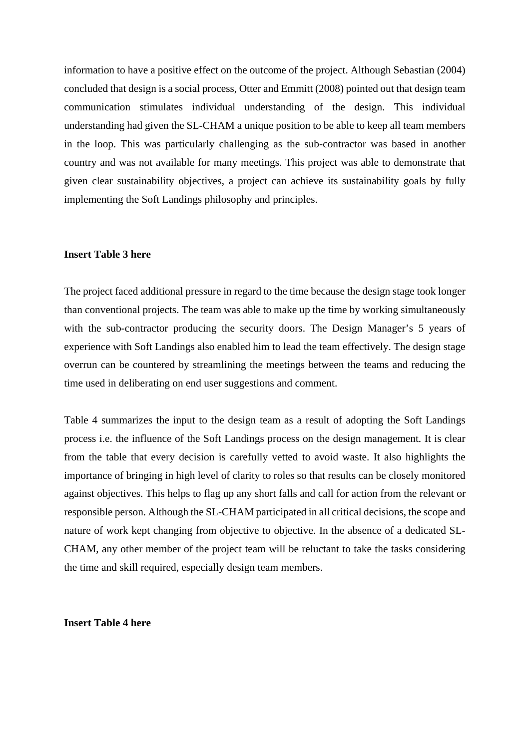information to have a positive effect on the outcome of the project. Although Sebastian (2004) concluded that design is a social process, Otter and Emmitt (2008) pointed out that design team communication stimulates individual understanding of the design. This individual understanding had given the SL-CHAM a unique position to be able to keep all team members in the loop. This was particularly challenging as the sub-contractor was based in another country and was not available for many meetings. This project was able to demonstrate that given clear sustainability objectives, a project can achieve its sustainability goals by fully implementing the Soft Landings philosophy and principles.

#### **Insert Table 3 here**

The project faced additional pressure in regard to the time because the design stage took longer than conventional projects. The team was able to make up the time by working simultaneously with the sub-contractor producing the security doors. The Design Manager's 5 years of experience with Soft Landings also enabled him to lead the team effectively. The design stage overrun can be countered by streamlining the meetings between the teams and reducing the time used in deliberating on end user suggestions and comment.

Table 4 summarizes the input to the design team as a result of adopting the Soft Landings process i.e. the influence of the Soft Landings process on the design management. It is clear from the table that every decision is carefully vetted to avoid waste. It also highlights the importance of bringing in high level of clarity to roles so that results can be closely monitored against objectives. This helps to flag up any short falls and call for action from the relevant or responsible person. Although the SL-CHAM participated in all critical decisions, the scope and nature of work kept changing from objective to objective. In the absence of a dedicated SL-CHAM, any other member of the project team will be reluctant to take the tasks considering the time and skill required, especially design team members.

#### **Insert Table 4 here**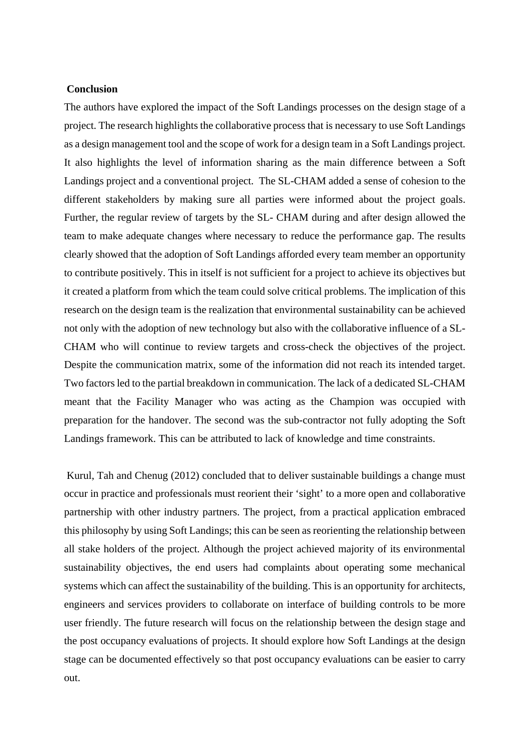#### **Conclusion**

The authors have explored the impact of the Soft Landings processes on the design stage of a project. The research highlights the collaborative process that is necessary to use Soft Landings as a design management tool and the scope of work for a design team in a Soft Landings project. It also highlights the level of information sharing as the main difference between a Soft Landings project and a conventional project. The SL-CHAM added a sense of cohesion to the different stakeholders by making sure all parties were informed about the project goals. Further, the regular review of targets by the SL- CHAM during and after design allowed the team to make adequate changes where necessary to reduce the performance gap. The results clearly showed that the adoption of Soft Landings afforded every team member an opportunity to contribute positively. This in itself is not sufficient for a project to achieve its objectives but it created a platform from which the team could solve critical problems. The implication of this research on the design team is the realization that environmental sustainability can be achieved not only with the adoption of new technology but also with the collaborative influence of a SL-CHAM who will continue to review targets and cross-check the objectives of the project. Despite the communication matrix, some of the information did not reach its intended target. Two factors led to the partial breakdown in communication. The lack of a dedicated SL-CHAM meant that the Facility Manager who was acting as the Champion was occupied with preparation for the handover. The second was the sub-contractor not fully adopting the Soft Landings framework. This can be attributed to lack of knowledge and time constraints.

 Kurul, Tah and Chenug (2012) concluded that to deliver sustainable buildings a change must occur in practice and professionals must reorient their 'sight' to a more open and collaborative partnership with other industry partners. The project, from a practical application embraced this philosophy by using Soft Landings; this can be seen as reorienting the relationship between all stake holders of the project. Although the project achieved majority of its environmental sustainability objectives, the end users had complaints about operating some mechanical systems which can affect the sustainability of the building. This is an opportunity for architects, engineers and services providers to collaborate on interface of building controls to be more user friendly. The future research will focus on the relationship between the design stage and the post occupancy evaluations of projects. It should explore how Soft Landings at the design stage can be documented effectively so that post occupancy evaluations can be easier to carry out.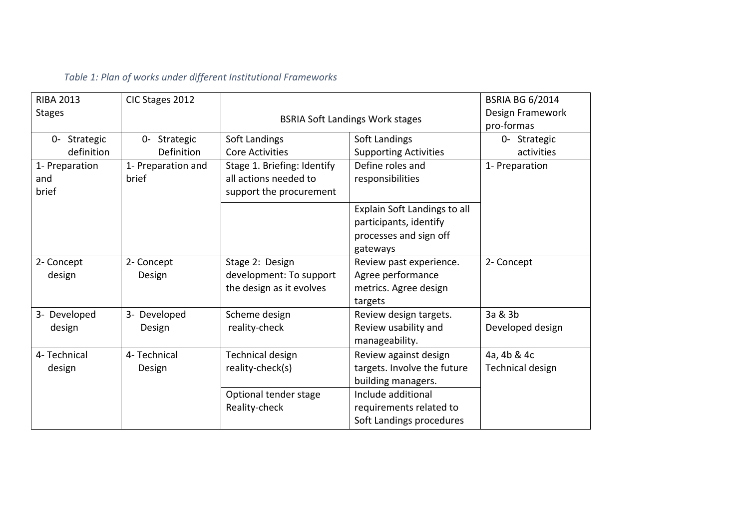| <b>RIBA 2013</b><br><b>Stages</b> | CIC Stages 2012             | <b>BSRIA Soft Landings Work stages</b>                                          | <b>BSRIA BG 6/2014</b><br>Design Framework<br>pro-formas                                     |                                 |
|-----------------------------------|-----------------------------|---------------------------------------------------------------------------------|----------------------------------------------------------------------------------------------|---------------------------------|
| 0- Strategic<br>definition        | 0- Strategic<br>Definition  | Soft Landings<br><b>Core Activities</b>                                         | Soft Landings<br><b>Supporting Activities</b>                                                | 0- Strategic<br>activities      |
| 1- Preparation<br>and<br>brief    | 1- Preparation and<br>brief | Stage 1. Briefing: Identify<br>all actions needed to<br>support the procurement | Define roles and<br>responsibilities                                                         | 1- Preparation                  |
|                                   |                             |                                                                                 | Explain Soft Landings to all<br>participants, identify<br>processes and sign off<br>gateways |                                 |
| 2- Concept<br>design              | 2- Concept<br>Design        | Stage 2: Design<br>development: To support<br>the design as it evolves          | Review past experience.<br>Agree performance<br>metrics. Agree design<br>targets             | 2- Concept                      |
| 3- Developed<br>design            | 3- Developed<br>Design      | Scheme design<br>reality-check                                                  | Review design targets.<br>Review usability and<br>manageability.                             | 3a & 3b<br>Developed design     |
| 4- Technical<br>design            | 4- Technical<br>Design      | Technical design<br>reality-check(s)                                            | Review against design<br>targets. Involve the future<br>building managers.                   | 4a, 4b & 4c<br>Technical design |
|                                   |                             | Optional tender stage<br>Reality-check                                          | Include additional<br>requirements related to<br>Soft Landings procedures                    |                                 |

*Table 1: Plan of works under different Institutional Frameworks*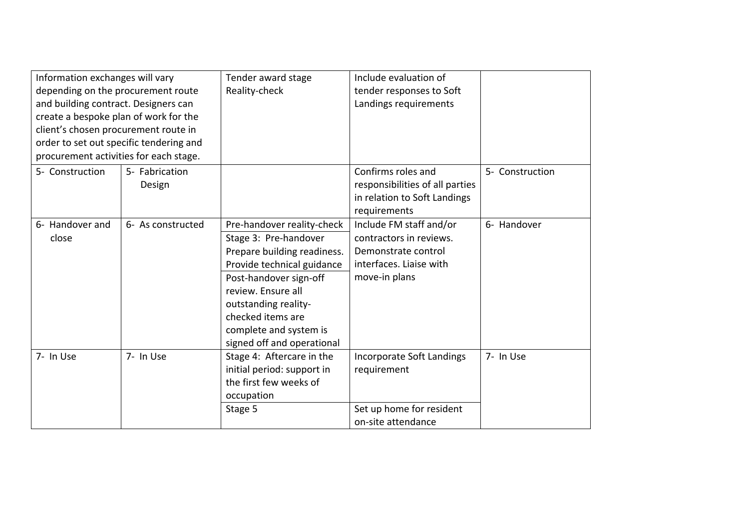| Information exchanges will vary         |                   | Tender award stage          | Include evaluation of           |                 |
|-----------------------------------------|-------------------|-----------------------------|---------------------------------|-----------------|
| depending on the procurement route      |                   | Reality-check               | tender responses to Soft        |                 |
| and building contract. Designers can    |                   |                             | Landings requirements           |                 |
| create a bespoke plan of work for the   |                   |                             |                                 |                 |
| client's chosen procurement route in    |                   |                             |                                 |                 |
| order to set out specific tendering and |                   |                             |                                 |                 |
| procurement activities for each stage.  |                   |                             |                                 |                 |
| 5- Construction                         | 5- Fabrication    |                             | Confirms roles and              | 5- Construction |
|                                         |                   |                             | responsibilities of all parties |                 |
|                                         | Design            |                             | in relation to Soft Landings    |                 |
|                                         |                   |                             |                                 |                 |
|                                         |                   |                             | requirements                    |                 |
| 6- Handover and                         | 6- As constructed | Pre-handover reality-check  | Include FM staff and/or         | 6- Handover     |
| close                                   |                   | Stage 3: Pre-handover       | contractors in reviews.         |                 |
|                                         |                   | Prepare building readiness. | Demonstrate control             |                 |
|                                         |                   | Provide technical guidance  | interfaces. Liaise with         |                 |
|                                         |                   | Post-handover sign-off      | move-in plans                   |                 |
|                                         |                   | review. Ensure all          |                                 |                 |
|                                         |                   | outstanding reality-        |                                 |                 |
|                                         |                   | checked items are           |                                 |                 |
|                                         |                   | complete and system is      |                                 |                 |
|                                         |                   | signed off and operational  |                                 |                 |
| 7- In Use                               | 7- In Use         | Stage 4: Aftercare in the   | Incorporate Soft Landings       | 7- In Use       |
|                                         |                   | initial period: support in  | requirement                     |                 |
|                                         |                   | the first few weeks of      |                                 |                 |
|                                         |                   | occupation                  |                                 |                 |
|                                         |                   | Stage 5                     | Set up home for resident        |                 |
|                                         |                   |                             | on-site attendance              |                 |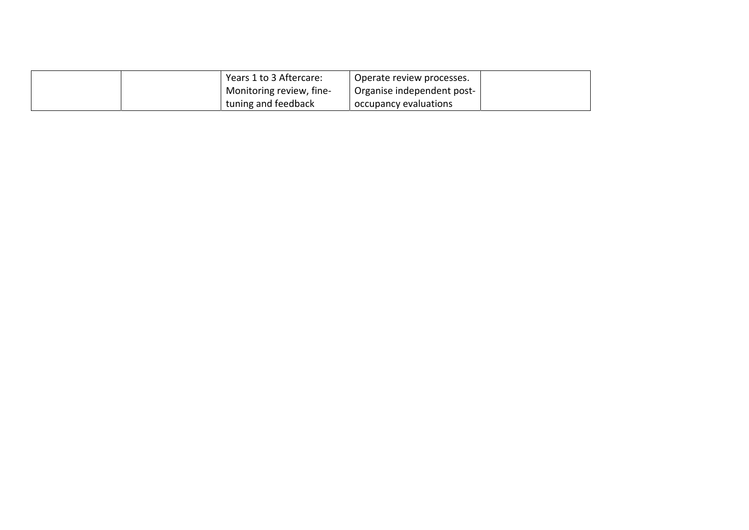|  | Years 1 to 3 Aftercare:  | Operate review processes.  |  |
|--|--------------------------|----------------------------|--|
|  | Monitoring review, fine- | Organise independent post- |  |
|  | tuning and feedback      | occupancy evaluations      |  |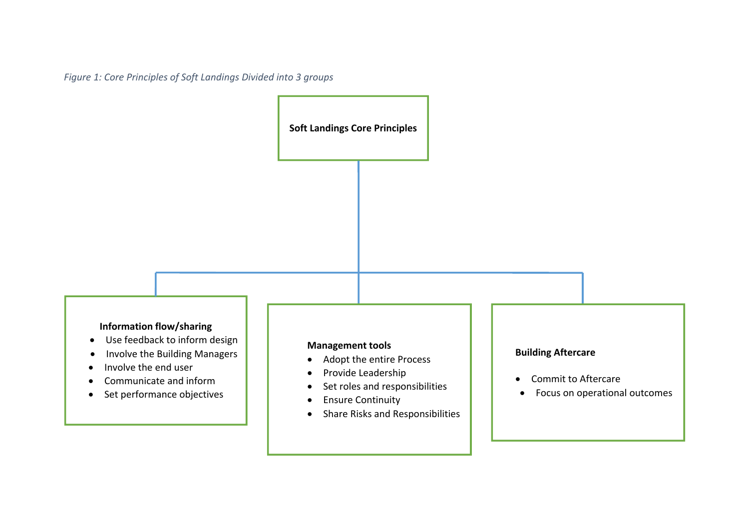*Figure 1: Core Principles of Soft Landings Divided into 3 groups*

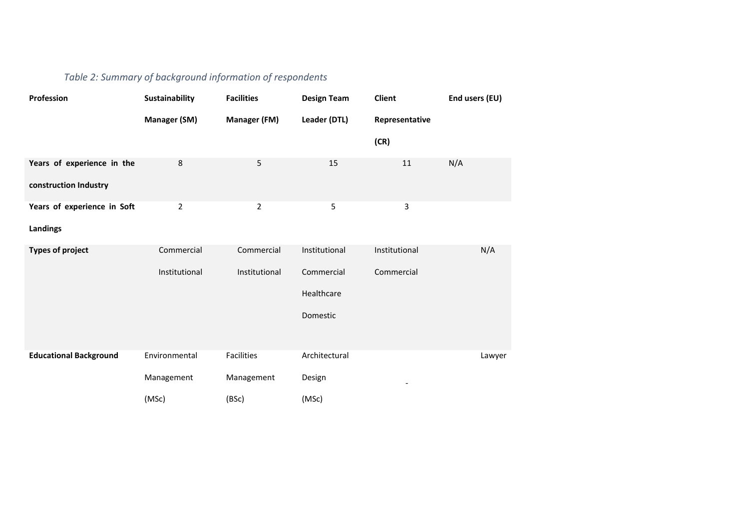### *Table 2: Summary of background information of respondents*

| Profession                    | Sustainability | <b>Facilities</b>   | <b>Design Team</b> | <b>Client</b>  | End users (EU) |
|-------------------------------|----------------|---------------------|--------------------|----------------|----------------|
|                               | Manager (SM)   | <b>Manager (FM)</b> | Leader (DTL)       | Representative |                |
|                               |                |                     |                    | (CR)           |                |
| Years of experience in the    | 8              | 5                   | 15                 | 11             | N/A            |
| construction Industry         |                |                     |                    |                |                |
| Years of experience in Soft   | $\overline{2}$ | $\overline{2}$      | 5                  | 3              |                |
| Landings                      |                |                     |                    |                |                |
| <b>Types of project</b>       | Commercial     | Commercial          | Institutional      | Institutional  | N/A            |
|                               | Institutional  | Institutional       | Commercial         | Commercial     |                |
|                               |                |                     | Healthcare         |                |                |
|                               |                |                     | Domestic           |                |                |
|                               |                |                     |                    |                |                |
| <b>Educational Background</b> | Environmental  | <b>Facilities</b>   | Architectural      |                | Lawyer         |
|                               | Management     | Management          | Design             |                |                |
|                               | (MSc)          | (BSc)               | (MSc)              |                |                |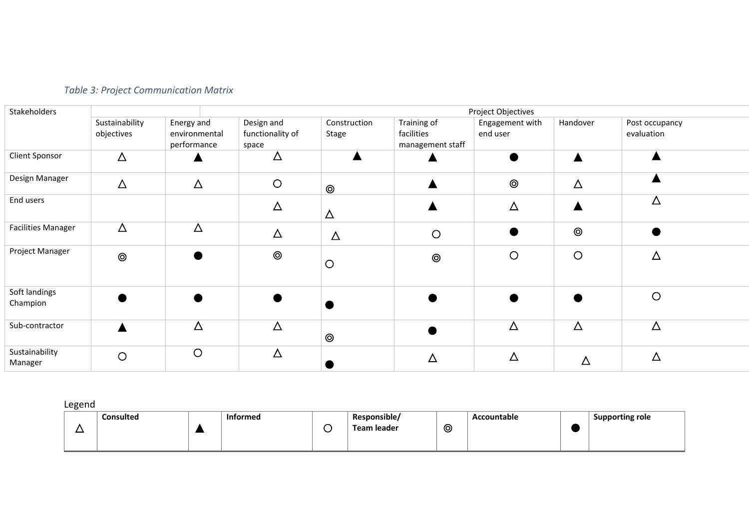|  |  |  | <b>Table 3: Project Communication Matrix</b> |  |
|--|--|--|----------------------------------------------|--|
|--|--|--|----------------------------------------------|--|

| Stakeholders              |                              |                                            |                                         |                       |                                               | Project Objectives          |                |                              |
|---------------------------|------------------------------|--------------------------------------------|-----------------------------------------|-----------------------|-----------------------------------------------|-----------------------------|----------------|------------------------------|
|                           | Sustainability<br>objectives | Energy and<br>environmental<br>performance | Design and<br>functionality of<br>space | Construction<br>Stage | Training of<br>facilities<br>management staff | Engagement with<br>end user | Handover       | Post occupancy<br>evaluation |
| Client Sponsor            | $\Delta$                     |                                            | $\Delta$                                |                       |                                               |                             |                |                              |
| Design Manager            | $\Delta$                     | $\Delta$                                   | $\circ$                                 | $\circledcirc$        |                                               | $\circledcirc$              | $\triangle$    |                              |
| End users                 |                              |                                            | $\triangle$                             | $\triangle$           |                                               | $\Delta$                    |                | Δ                            |
| <b>Facilities Manager</b> | $\triangle$                  | $\Delta$                                   | $\triangle$                             | $\Delta$              | $\circ$                                       |                             | $\circledcirc$ |                              |
| Project Manager           | $\circledcirc$               |                                            | $\circledcirc$                          | $\circ$               | $\circledcirc$                                | $\bigcirc$                  | $\circ$        | $\triangle$                  |
| Soft landings<br>Champion |                              |                                            |                                         |                       |                                               |                             |                | $\circ$                      |
| Sub-contractor            |                              | $\triangle$                                | $\Delta$                                | $\circledcirc$        |                                               | $\Delta$                    | $\triangle$    | $\triangle$                  |
| Sustainability<br>Manager | $\circ$                      | $\bigcirc$                                 | $\triangle$                             |                       | $\triangle$                                   | $\Delta$                    | $\Delta$       | $\Delta$                     |

Legend

|   | <b>Consulted</b> | <b>Informed</b> | Responsible/ |                | <b>Accountable</b> | <b>Supporting role</b> |
|---|------------------|-----------------|--------------|----------------|--------------------|------------------------|
| – |                  |                 | Team leader  | $\circledcirc$ |                    |                        |
|   |                  |                 |              |                |                    |                        |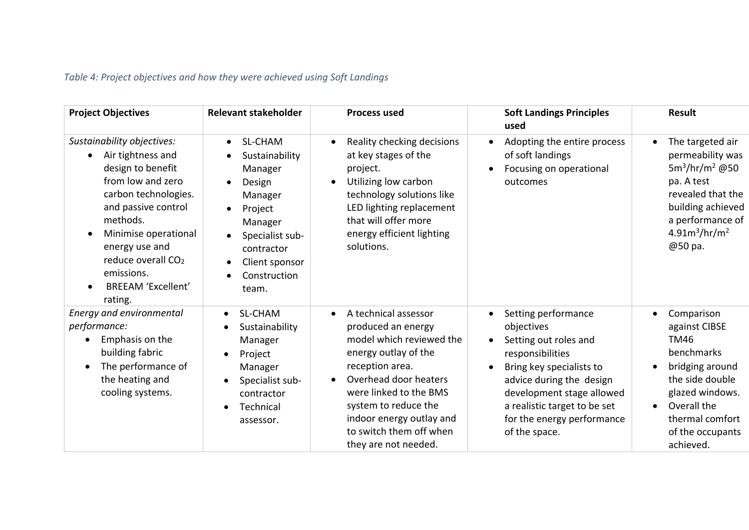*Table 4: Project objectives and how they were achieved using Soft Landings*

| <b>Project Objectives</b>                                                                                                                                                                                                                                                                           | <b>Relevant stakeholder</b>                                                                                                                                        | <b>Process used</b>                                                                                                                                                                                                                                                                                   | <b>Soft Landings Principles</b><br>used                                                                                                                                                                                                                         | Result                                                                                                                                                                                                              |  |
|-----------------------------------------------------------------------------------------------------------------------------------------------------------------------------------------------------------------------------------------------------------------------------------------------------|--------------------------------------------------------------------------------------------------------------------------------------------------------------------|-------------------------------------------------------------------------------------------------------------------------------------------------------------------------------------------------------------------------------------------------------------------------------------------------------|-----------------------------------------------------------------------------------------------------------------------------------------------------------------------------------------------------------------------------------------------------------------|---------------------------------------------------------------------------------------------------------------------------------------------------------------------------------------------------------------------|--|
| Sustainability objectives:<br>Air tightness and<br>$\bullet$<br>design to benefit<br>from low and zero<br>carbon technologies.<br>and passive control<br>methods.<br>Minimise operational<br>energy use and<br>reduce overall CO <sub>2</sub><br>emissions.<br><b>BREEAM 'Excellent'</b><br>rating. | <b>SL-CHAM</b><br>Sustainability<br>Manager<br>Design<br>Manager<br>Project<br>Manager<br>Specialist sub-<br>contractor<br>Client sponsor<br>Construction<br>team. | Reality checking decisions<br>$\bullet$<br>at key stages of the<br>project.<br>Utilizing low carbon<br>$\bullet$<br>technology solutions like<br>LED lighting replacement<br>that will offer more<br>energy efficient lighting<br>solutions.                                                          | Adopting the entire process<br>$\bullet$<br>of soft landings<br>Focusing on operational<br>$\bullet$<br>outcomes                                                                                                                                                | The targeted air<br>$\bullet$<br>permeability was<br>5m <sup>3</sup> /hr/m <sup>2</sup> @50<br>pa. A test<br>revealed that the<br>building achieved<br>a performance of<br>4.91 $m^3$ /hr/m <sup>2</sup><br>@50 pa. |  |
| <b>Energy and environmental</b><br>performance:<br>Emphasis on the<br>$\bullet$<br>building fabric<br>The performance of<br>$\bullet$<br>the heating and<br>cooling systems.                                                                                                                        | SL-CHAM<br>Sustainability<br>Manager<br>Project<br>$\bullet$<br>Manager<br>Specialist sub-<br>contractor<br>Technical<br>$\bullet$<br>assessor.                    | A technical assessor<br>$\bullet$<br>produced an energy<br>model which reviewed the<br>energy outlay of the<br>reception area.<br>Overhead door heaters<br>$\bullet$<br>were linked to the BMS<br>system to reduce the<br>indoor energy outlay and<br>to switch them off when<br>they are not needed. | Setting performance<br>objectives<br>Setting out roles and<br>$\bullet$<br>responsibilities<br>Bring key specialists to<br>advice during the design<br>development stage allowed<br>a realistic target to be set<br>for the energy performance<br>of the space. | Comparison<br>$\bullet$<br>against CIBSE<br><b>TM46</b><br>benchmarks<br>bridging around<br>the side double<br>glazed windows.<br>Overall the<br>$\bullet$<br>thermal comfort<br>of the occupants<br>achieved.      |  |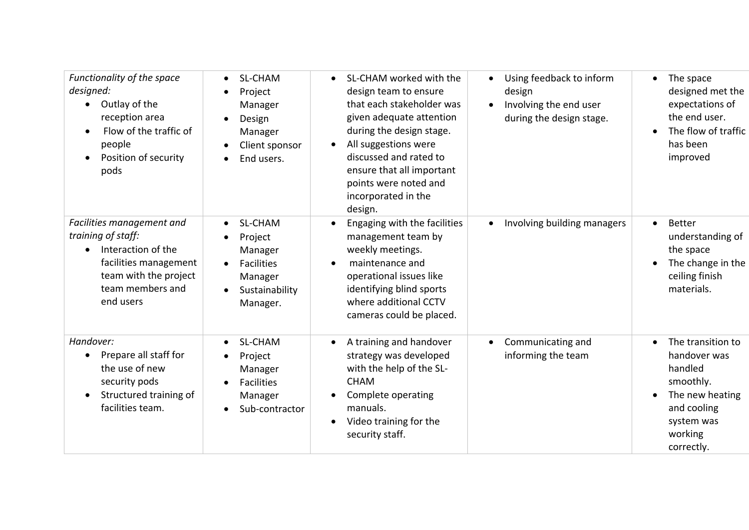| Functionality of the space<br>designed:<br>Outlay of the<br>$\bullet$<br>reception area<br>Flow of the traffic of<br>$\bullet$<br>people<br>Position of security<br>$\bullet$<br>pods | <b>SL-CHAM</b><br>Project<br>Manager<br>Design<br>Manager<br>Client sponsor<br>End users.          | SL-CHAM worked with the<br>design team to ensure<br>that each stakeholder was<br>given adequate attention<br>during the design stage.<br>All suggestions were<br>$\bullet$<br>discussed and rated to<br>ensure that all important<br>points were noted and<br>incorporated in the<br>design. | Using feedback to inform<br>$\bullet$<br>design<br>Involving the end user<br>$\bullet$<br>during the design stage. | The space<br>$\bullet$<br>designed met the<br>expectations of<br>the end user.<br>The flow of traffic<br>$\bullet$<br>has been<br>improved                   |
|---------------------------------------------------------------------------------------------------------------------------------------------------------------------------------------|----------------------------------------------------------------------------------------------------|----------------------------------------------------------------------------------------------------------------------------------------------------------------------------------------------------------------------------------------------------------------------------------------------|--------------------------------------------------------------------------------------------------------------------|--------------------------------------------------------------------------------------------------------------------------------------------------------------|
| Facilities management and<br>training of staff:<br>Interaction of the<br>$\bullet$<br>facilities management<br>team with the project<br>team members and<br>end users                 | <b>SL-CHAM</b><br>Project<br>Manager<br><b>Facilities</b><br>Manager<br>Sustainability<br>Manager. | Engaging with the facilities<br>management team by<br>weekly meetings.<br>maintenance and<br>$\bullet$<br>operational issues like<br>identifying blind sports<br>where additional CCTV<br>cameras could be placed.                                                                           | Involving building managers                                                                                        | <b>Better</b><br>$\bullet$<br>understanding of<br>the space<br>The change in the<br>$\bullet$<br>ceiling finish<br>materials.                                |
| Handover:<br>Prepare all staff for<br>$\bullet$<br>the use of new<br>security pods<br>Structured training of<br>$\bullet$<br>facilities team.                                         | <b>SL-CHAM</b><br>Project<br>Manager<br>Facilities<br>Manager<br>Sub-contractor                    | A training and handover<br>$\bullet$<br>strategy was developed<br>with the help of the SL-<br><b>CHAM</b><br>Complete operating<br>manuals.<br>Video training for the<br>$\bullet$<br>security staff.                                                                                        | Communicating and<br>$\bullet$<br>informing the team                                                               | The transition to<br>$\bullet$<br>handover was<br>handled<br>smoothly.<br>The new heating<br>$\bullet$<br>and cooling<br>system was<br>working<br>correctly. |